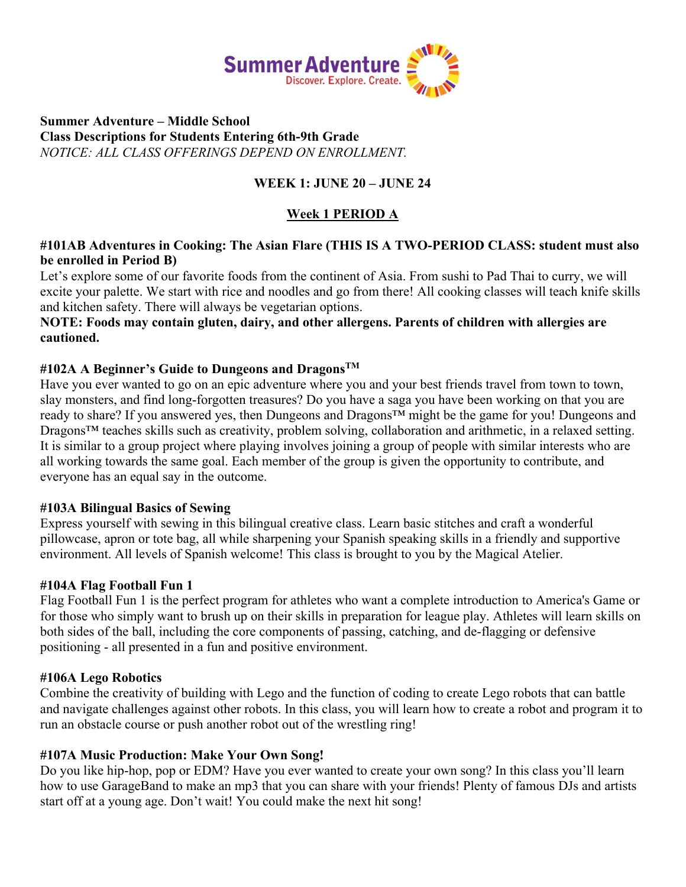

### **Summer Adventure – Middle School Class Descriptions for Students Entering 6th-9th Grade**  *NOTICE: ALL CLASS OFFERINGS DEPEND ON ENROLLMENT.*

## **WEEK 1: JUNE 20 – JUNE 24**

## **Week 1 PERIOD A**

### **#101AB Adventures in Cooking: The Asian Flare (THIS IS A TWO-PERIOD CLASS: student must also be enrolled in Period B)**

Let's explore some of our favorite foods from the continent of Asia. From sushi to Pad Thai to curry, we will excite your palette. We start with rice and noodles and go from there! All cooking classes will teach knife skills and kitchen safety. There will always be vegetarian options.

## **NOTE: Foods may contain gluten, dairy, and other allergens. Parents of children with allergies are cautioned.**

### **#102A A Beginner's Guide to Dungeons and DragonsTM**

Have you ever wanted to go on an epic adventure where you and your best friends travel from town to town, slay monsters, and find long-forgotten treasures? Do you have a saga you have been working on that you are ready to share? If you answered yes, then Dungeons and Dragons™ might be the game for you! Dungeons and Dragons<sup>™</sup> teaches skills such as creativity, problem solving, collaboration and arithmetic, in a relaxed setting. It is similar to a group project where playing involves joining a group of people with similar interests who are all working towards the same goal. Each member of the group is given the opportunity to contribute, and everyone has an equal say in the outcome.

#### **#103A Bilingual Basics of Sewing**

Express yourself with sewing in this bilingual creative class. Learn basic stitches and craft a wonderful pillowcase, apron or tote bag, all while sharpening your Spanish speaking skills in a friendly and supportive environment. All levels of Spanish welcome! This class is brought to you by the Magical Atelier.

#### **#104A Flag Football Fun 1**

Flag Football Fun 1 is the perfect program for athletes who want a complete introduction to America's Game or for those who simply want to brush up on their skills in preparation for league play. Athletes will learn skills on both sides of the ball, including the core components of passing, catching, and de-flagging or defensive positioning - all presented in a fun and positive environment.

#### **#106A Lego Robotics**

Combine the creativity of building with Lego and the function of coding to create Lego robots that can battle and navigate challenges against other robots. In this class, you will learn how to create a robot and program it to run an obstacle course or push another robot out of the wrestling ring!

## **#107A Music Production: Make Your Own Song!**

Do you like hip-hop, pop or EDM? Have you ever wanted to create your own song? In this class you'll learn how to use GarageBand to make an mp3 that you can share with your friends! Plenty of famous DJs and artists start off at a young age. Don't wait! You could make the next hit song!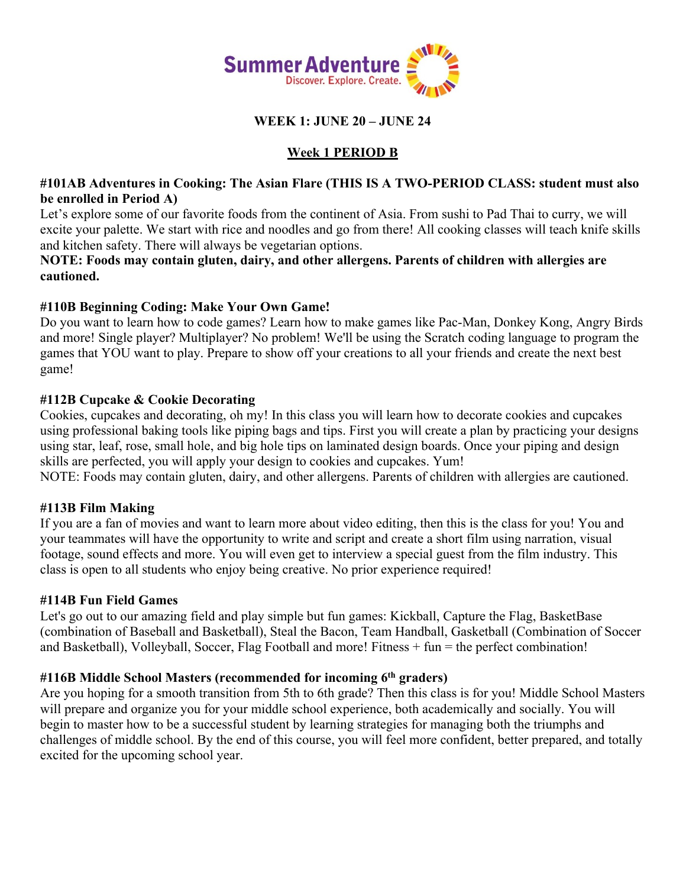

**WEEK 1: JUNE 20 – JUNE 24**

# **Week 1 PERIOD B**

## **#101AB Adventures in Cooking: The Asian Flare (THIS IS A TWO-PERIOD CLASS: student must also be enrolled in Period A)**

Let's explore some of our favorite foods from the continent of Asia. From sushi to Pad Thai to curry, we will excite your palette. We start with rice and noodles and go from there! All cooking classes will teach knife skills and kitchen safety. There will always be vegetarian options.

**NOTE: Foods may contain gluten, dairy, and other allergens. Parents of children with allergies are cautioned.**

## **#110B Beginning Coding: Make Your Own Game!**

Do you want to learn how to code games? Learn how to make games like Pac-Man, Donkey Kong, Angry Birds and more! Single player? Multiplayer? No problem! We'll be using the Scratch coding language to program the games that YOU want to play. Prepare to show off your creations to all your friends and create the next best game!

### **#112B Cupcake & Cookie Decorating**

Cookies, cupcakes and decorating, oh my! In this class you will learn how to decorate cookies and cupcakes using professional baking tools like piping bags and tips. First you will create a plan by practicing your designs using star, leaf, rose, small hole, and big hole tips on laminated design boards. Once your piping and design skills are perfected, you will apply your design to cookies and cupcakes. Yum!

NOTE: Foods may contain gluten, dairy, and other allergens. Parents of children with allergies are cautioned.

## **#113B Film Making**

If you are a fan of movies and want to learn more about video editing, then this is the class for you! You and your teammates will have the opportunity to write and script and create a short film using narration, visual footage, sound effects and more. You will even get to interview a special guest from the film industry. This class is open to all students who enjoy being creative. No prior experience required!

#### **#114B Fun Field Games**

Let's go out to our amazing field and play simple but fun games: Kickball, Capture the Flag, BasketBase (combination of Baseball and Basketball), Steal the Bacon, Team Handball, Gasketball (Combination of Soccer and Basketball), Volleyball, Soccer, Flag Football and more! Fitness + fun = the perfect combination!

## **#116B Middle School Masters (recommended for incoming 6th graders)**

Are you hoping for a smooth transition from 5th to 6th grade? Then this class is for you! Middle School Masters will prepare and organize you for your middle school experience, both academically and socially. You will begin to master how to be a successful student by learning strategies for managing both the triumphs and challenges of middle school. By the end of this course, you will feel more confident, better prepared, and totally excited for the upcoming school year.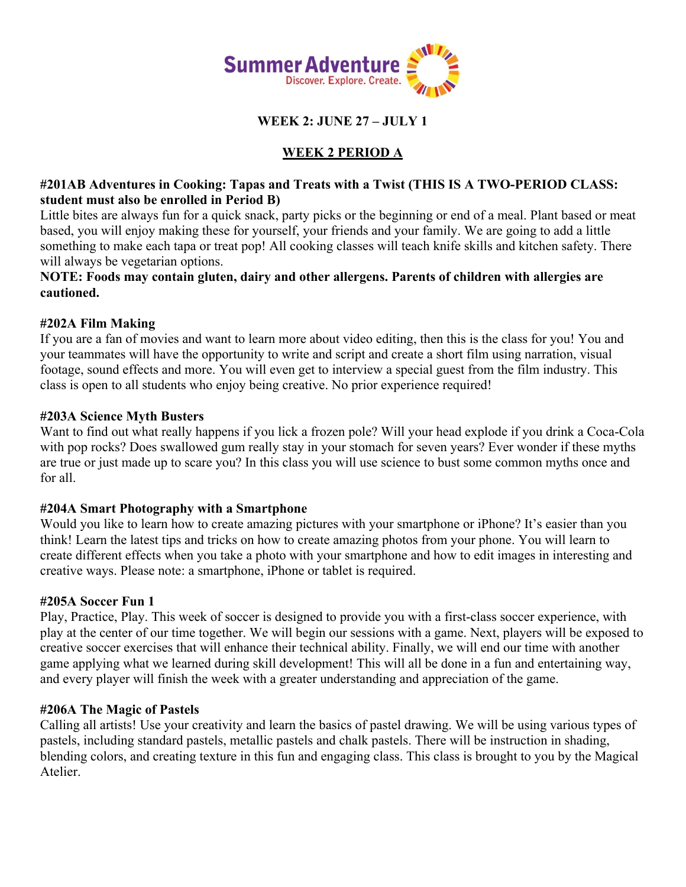

**WEEK 2: JUNE 27 – JULY 1**

# **WEEK 2 PERIOD A**

### **#201AB Adventures in Cooking: Tapas and Treats with a Twist (THIS IS A TWO-PERIOD CLASS: student must also be enrolled in Period B)**

Little bites are always fun for a quick snack, party picks or the beginning or end of a meal. Plant based or meat based, you will enjoy making these for yourself, your friends and your family. We are going to add a little something to make each tapa or treat pop! All cooking classes will teach knife skills and kitchen safety. There will always be vegetarian options.

**NOTE: Foods may contain gluten, dairy and other allergens. Parents of children with allergies are cautioned.** 

## **#202A Film Making**

If you are a fan of movies and want to learn more about video editing, then this is the class for you! You and your teammates will have the opportunity to write and script and create a short film using narration, visual footage, sound effects and more. You will even get to interview a special guest from the film industry. This class is open to all students who enjoy being creative. No prior experience required!

### **#203A Science Myth Busters**

Want to find out what really happens if you lick a frozen pole? Will your head explode if you drink a Coca-Cola with pop rocks? Does swallowed gum really stay in your stomach for seven years? Ever wonder if these myths are true or just made up to scare you? In this class you will use science to bust some common myths once and for all.

#### **#204A Smart Photography with a Smartphone**

Would you like to learn how to create amazing pictures with your smartphone or iPhone? It's easier than you think! Learn the latest tips and tricks on how to create amazing photos from your phone. You will learn to create different effects when you take a photo with your smartphone and how to edit images in interesting and creative ways. Please note: a smartphone, iPhone or tablet is required.

#### **#205A Soccer Fun 1**

Play, Practice, Play. This week of soccer is designed to provide you with a first-class soccer experience, with play at the center of our time together. We will begin our sessions with a game. Next, players will be exposed to creative soccer exercises that will enhance their technical ability. Finally, we will end our time with another game applying what we learned during skill development! This will all be done in a fun and entertaining way, and every player will finish the week with a greater understanding and appreciation of the game.

#### **#206A The Magic of Pastels**

Calling all artists! Use your creativity and learn the basics of pastel drawing. We will be using various types of pastels, including standard pastels, metallic pastels and chalk pastels. There will be instruction in shading, blending colors, and creating texture in this fun and engaging class. This class is brought to you by the Magical Atelier.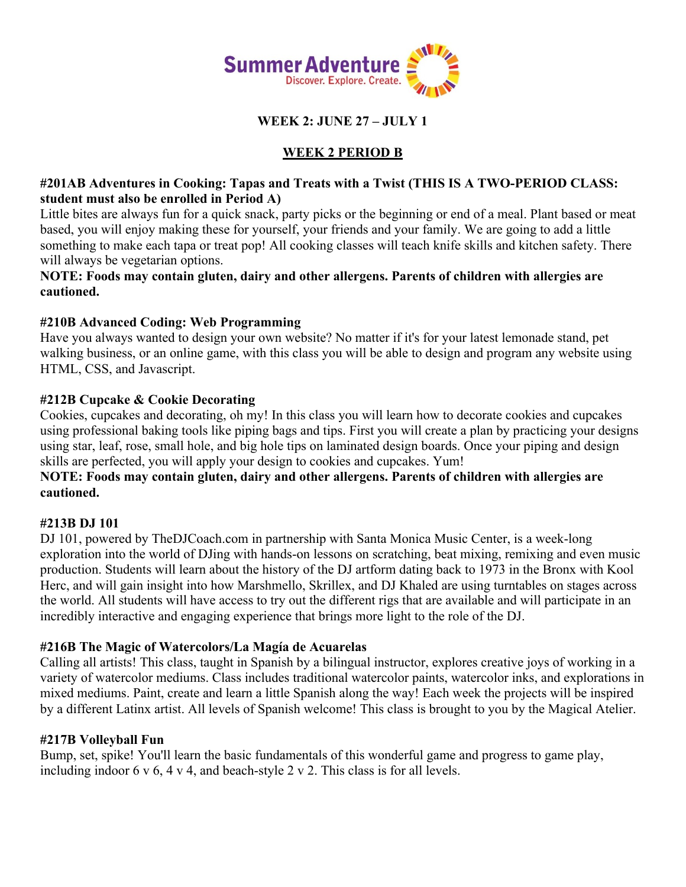

**WEEK 2: JUNE 27 – JULY 1**

# **WEEK 2 PERIOD B**

## **#201AB Adventures in Cooking: Tapas and Treats with a Twist (THIS IS A TWO-PERIOD CLASS: student must also be enrolled in Period A)**

Little bites are always fun for a quick snack, party picks or the beginning or end of a meal. Plant based or meat based, you will enjoy making these for yourself, your friends and your family. We are going to add a little something to make each tapa or treat pop! All cooking classes will teach knife skills and kitchen safety. There will always be vegetarian options.

**NOTE: Foods may contain gluten, dairy and other allergens. Parents of children with allergies are cautioned.** 

## **#210B Advanced Coding: Web Programming**

Have you always wanted to design your own website? No matter if it's for your latest lemonade stand, pet walking business, or an online game, with this class you will be able to design and program any website using HTML, CSS, and Javascript.

## **#212B Cupcake & Cookie Decorating**

Cookies, cupcakes and decorating, oh my! In this class you will learn how to decorate cookies and cupcakes using professional baking tools like piping bags and tips. First you will create a plan by practicing your designs using star, leaf, rose, small hole, and big hole tips on laminated design boards. Once your piping and design skills are perfected, you will apply your design to cookies and cupcakes. Yum!

## **NOTE: Foods may contain gluten, dairy and other allergens. Parents of children with allergies are cautioned.**

# **#213B DJ 101**

DJ 101, powered by TheDJCoach.com in partnership with Santa Monica Music Center, is a week-long exploration into the world of DJing with hands-on lessons on scratching, beat mixing, remixing and even music production. Students will learn about the history of the DJ artform dating back to 1973 in the Bronx with Kool Herc, and will gain insight into how Marshmello, Skrillex, and DJ Khaled are using turntables on stages across the world. All students will have access to try out the different rigs that are available and will participate in an incredibly interactive and engaging experience that brings more light to the role of the DJ.

## **#216B The Magic of Watercolors/La Magía de Acuarelas**

Calling all artists! This class, taught in Spanish by a bilingual instructor, explores creative joys of working in a variety of watercolor mediums. Class includes traditional watercolor paints, watercolor inks, and explorations in mixed mediums. Paint, create and learn a little Spanish along the way! Each week the projects will be inspired by a different Latinx artist. All levels of Spanish welcome! This class is brought to you by the Magical Atelier.

## **#217B Volleyball Fun**

Bump, set, spike! You'll learn the basic fundamentals of this wonderful game and progress to game play, including indoor 6 v 6, 4 v 4, and beach-style 2 v 2. This class is for all levels.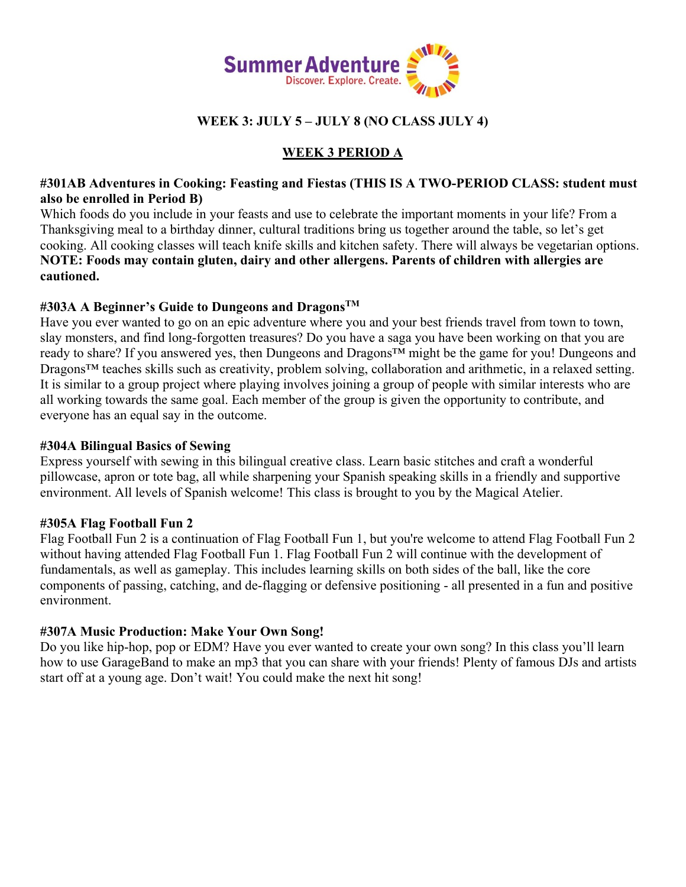

# **WEEK 3: JULY 5 – JULY 8 (NO CLASS JULY 4)**

# **WEEK 3 PERIOD A**

## **#301AB Adventures in Cooking: Feasting and Fiestas (THIS IS A TWO-PERIOD CLASS: student must also be enrolled in Period B)**

Which foods do you include in your feasts and use to celebrate the important moments in your life? From a Thanksgiving meal to a birthday dinner, cultural traditions bring us together around the table, so let's get cooking. All cooking classes will teach knife skills and kitchen safety. There will always be vegetarian options. **NOTE: Foods may contain gluten, dairy and other allergens. Parents of children with allergies are cautioned.**

## **#303A A Beginner's Guide to Dungeons and DragonsTM**

Have you ever wanted to go on an epic adventure where you and your best friends travel from town to town, slay monsters, and find long-forgotten treasures? Do you have a saga you have been working on that you are ready to share? If you answered yes, then Dungeons and Dragons™ might be the game for you! Dungeons and Dragons<sup>™</sup> teaches skills such as creativity, problem solving, collaboration and arithmetic, in a relaxed setting. It is similar to a group project where playing involves joining a group of people with similar interests who are all working towards the same goal. Each member of the group is given the opportunity to contribute, and everyone has an equal say in the outcome.

#### **#304A Bilingual Basics of Sewing**

Express yourself with sewing in this bilingual creative class. Learn basic stitches and craft a wonderful pillowcase, apron or tote bag, all while sharpening your Spanish speaking skills in a friendly and supportive environment. All levels of Spanish welcome! This class is brought to you by the Magical Atelier.

## **#305A Flag Football Fun 2**

Flag Football Fun 2 is a continuation of Flag Football Fun 1, but you're welcome to attend Flag Football Fun 2 without having attended Flag Football Fun 1. Flag Football Fun 2 will continue with the development of fundamentals, as well as gameplay. This includes learning skills on both sides of the ball, like the core components of passing, catching, and de-flagging or defensive positioning - all presented in a fun and positive environment.

## **#307A Music Production: Make Your Own Song!**

Do you like hip-hop, pop or EDM? Have you ever wanted to create your own song? In this class you'll learn how to use GarageBand to make an mp3 that you can share with your friends! Plenty of famous DJs and artists start off at a young age. Don't wait! You could make the next hit song!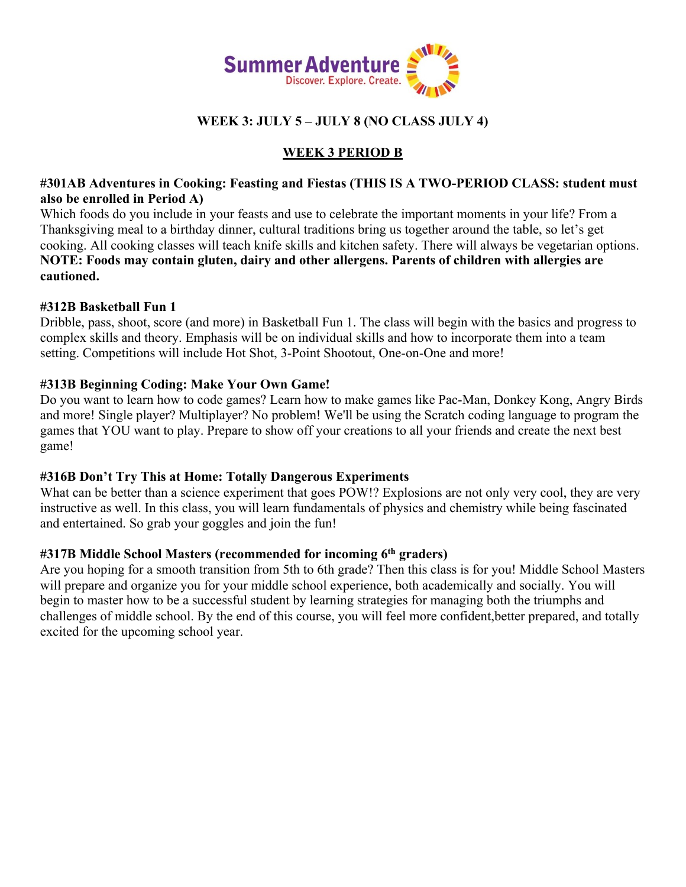

# **WEEK 3: JULY 5 – JULY 8 (NO CLASS JULY 4)**

# **WEEK 3 PERIOD B**

## **#301AB Adventures in Cooking: Feasting and Fiestas (THIS IS A TWO-PERIOD CLASS: student must also be enrolled in Period A)**

Which foods do you include in your feasts and use to celebrate the important moments in your life? From a Thanksgiving meal to a birthday dinner, cultural traditions bring us together around the table, so let's get cooking. All cooking classes will teach knife skills and kitchen safety. There will always be vegetarian options. **NOTE: Foods may contain gluten, dairy and other allergens. Parents of children with allergies are cautioned.**

### **#312B Basketball Fun 1**

Dribble, pass, shoot, score (and more) in Basketball Fun 1. The class will begin with the basics and progress to complex skills and theory. Emphasis will be on individual skills and how to incorporate them into a team setting. Competitions will include Hot Shot, 3-Point Shootout, One-on-One and more!

### **#313B Beginning Coding: Make Your Own Game!**

Do you want to learn how to code games? Learn how to make games like Pac-Man, Donkey Kong, Angry Birds and more! Single player? Multiplayer? No problem! We'll be using the Scratch coding language to program the games that YOU want to play. Prepare to show off your creations to all your friends and create the next best game!

## **#316B Don't Try This at Home: Totally Dangerous Experiments**

What can be better than a science experiment that goes POW!? Explosions are not only very cool, they are very instructive as well. In this class, you will learn fundamentals of physics and chemistry while being fascinated and entertained. So grab your goggles and join the fun!

## **#317B Middle School Masters (recommended for incoming 6th graders)**

Are you hoping for a smooth transition from 5th to 6th grade? Then this class is for you! Middle School Masters will prepare and organize you for your middle school experience, both academically and socially. You will begin to master how to be a successful student by learning strategies for managing both the triumphs and challenges of middle school. By the end of this course, you will feel more confident,better prepared, and totally excited for the upcoming school year.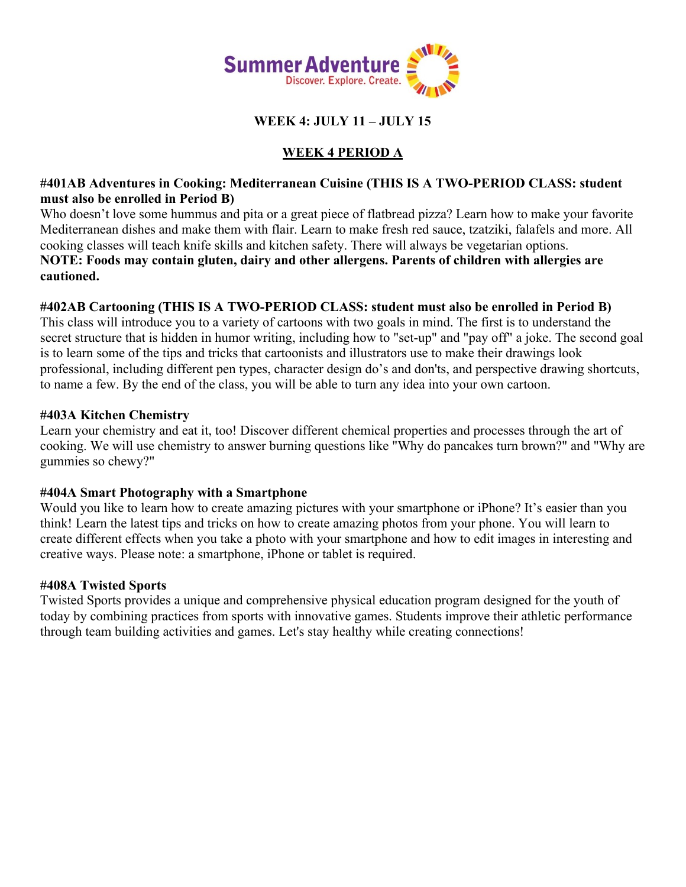

## **WEEK 4: JULY 11 – JULY 15**

# **WEEK 4 PERIOD A**

## **#401AB Adventures in Cooking: Mediterranean Cuisine (THIS IS A TWO-PERIOD CLASS: student must also be enrolled in Period B)**

Who doesn't love some hummus and pita or a great piece of flatbread pizza? Learn how to make your favorite Mediterranean dishes and make them with flair. Learn to make fresh red sauce, tzatziki, falafels and more. All cooking classes will teach knife skills and kitchen safety. There will always be vegetarian options. **NOTE: Foods may contain gluten, dairy and other allergens. Parents of children with allergies are cautioned.** 

## **#402AB Cartooning (THIS IS A TWO-PERIOD CLASS: student must also be enrolled in Period B)**

This class will introduce you to a variety of cartoons with two goals in mind. The first is to understand the secret structure that is hidden in humor writing, including how to "set-up" and "pay off" a joke. The second goal is to learn some of the tips and tricks that cartoonists and illustrators use to make their drawings look professional, including different pen types, character design do's and don'ts, and perspective drawing shortcuts, to name a few. By the end of the class, you will be able to turn any idea into your own cartoon.

### **#403A Kitchen Chemistry**

Learn your chemistry and eat it, too! Discover different chemical properties and processes through the art of cooking. We will use chemistry to answer burning questions like "Why do pancakes turn brown?" and "Why are gummies so chewy?"

## **#404A Smart Photography with a Smartphone**

Would you like to learn how to create amazing pictures with your smartphone or iPhone? It's easier than you think! Learn the latest tips and tricks on how to create amazing photos from your phone. You will learn to create different effects when you take a photo with your smartphone and how to edit images in interesting and creative ways. Please note: a smartphone, iPhone or tablet is required.

## **#408A Twisted Sports**

Twisted Sports provides a unique and comprehensive physical education program designed for the youth of today by combining practices from sports with innovative games. Students improve their athletic performance through team building activities and games. Let's stay healthy while creating connections!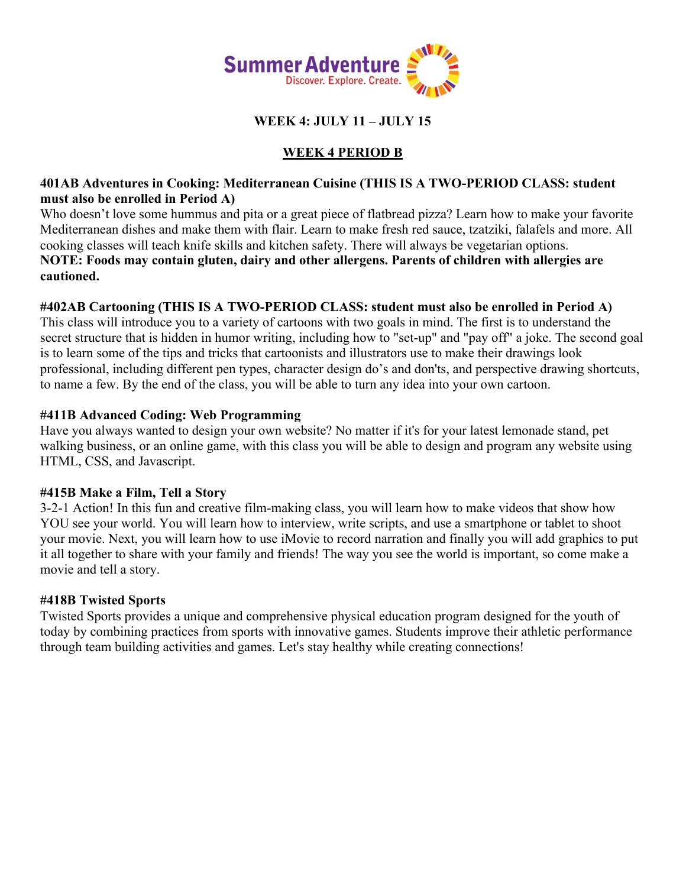

## **WEEK 4: JULY 11 – JULY 15**

# **WEEK 4 PERIOD B**

## **401AB Adventures in Cooking: Mediterranean Cuisine (THIS IS A TWO-PERIOD CLASS: student must also be enrolled in Period A)**

Who doesn't love some hummus and pita or a great piece of flatbread pizza? Learn how to make your favorite Mediterranean dishes and make them with flair. Learn to make fresh red sauce, tzatziki, falafels and more. All cooking classes will teach knife skills and kitchen safety. There will always be vegetarian options. **NOTE: Foods may contain gluten, dairy and other allergens. Parents of children with allergies are cautioned.** 

## **#402AB Cartooning (THIS IS A TWO-PERIOD CLASS: student must also be enrolled in Period A)**

This class will introduce you to a variety of cartoons with two goals in mind. The first is to understand the secret structure that is hidden in humor writing, including how to "set-up" and "pay off" a joke. The second goal is to learn some of the tips and tricks that cartoonists and illustrators use to make their drawings look professional, including different pen types, character design do's and don'ts, and perspective drawing shortcuts, to name a few. By the end of the class, you will be able to turn any idea into your own cartoon.

## **#411B Advanced Coding: Web Programming**

Have you always wanted to design your own website? No matter if it's for your latest lemonade stand, pet walking business, or an online game, with this class you will be able to design and program any website using HTML, CSS, and Javascript.

## **#415B Make a Film, Tell a Story**

3-2-1 Action! In this fun and creative film-making class, you will learn how to make videos that show how YOU see your world. You will learn how to interview, write scripts, and use a smartphone or tablet to shoot your movie. Next, you will learn how to use iMovie to record narration and finally you will add graphics to put it all together to share with your family and friends! The way you see the world is important, so come make a movie and tell a story.

## **#418B Twisted Sports**

Twisted Sports provides a unique and comprehensive physical education program designed for the youth of today by combining practices from sports with innovative games. Students improve their athletic performance through team building activities and games. Let's stay healthy while creating connections!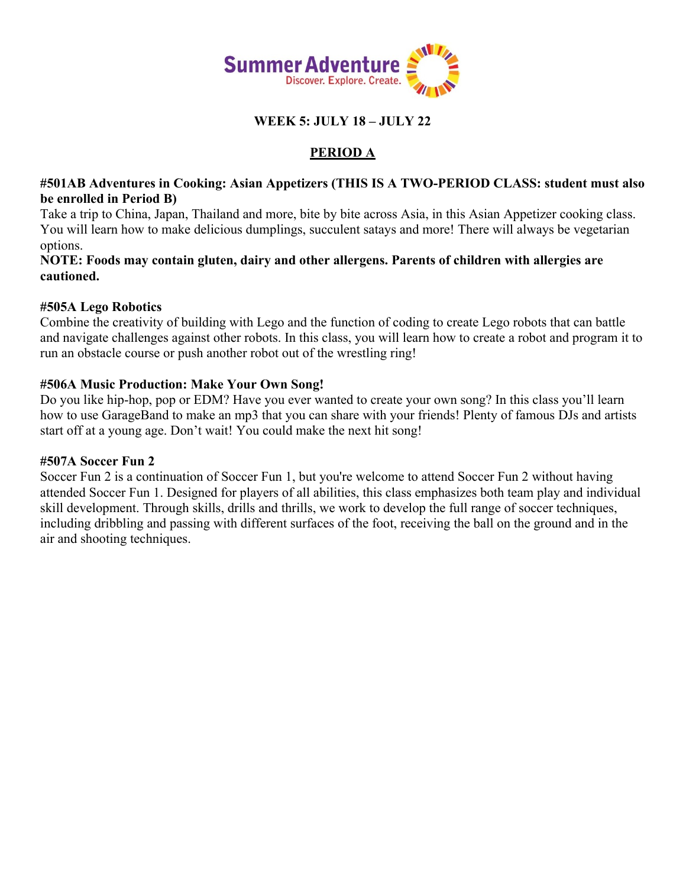

# **WEEK 5: JULY 18 – JULY 22**

# **PERIOD A**

## **#501AB Adventures in Cooking: Asian Appetizers (THIS IS A TWO-PERIOD CLASS: student must also be enrolled in Period B)**

Take a trip to China, Japan, Thailand and more, bite by bite across Asia, in this Asian Appetizer cooking class. You will learn how to make delicious dumplings, succulent satays and more! There will always be vegetarian options.

### **NOTE: Foods may contain gluten, dairy and other allergens. Parents of children with allergies are cautioned.**

### **#505A Lego Robotics**

Combine the creativity of building with Lego and the function of coding to create Lego robots that can battle and navigate challenges against other robots. In this class, you will learn how to create a robot and program it to run an obstacle course or push another robot out of the wrestling ring!

### **#506A Music Production: Make Your Own Song!**

Do you like hip-hop, pop or EDM? Have you ever wanted to create your own song? In this class you'll learn how to use GarageBand to make an mp3 that you can share with your friends! Plenty of famous DJs and artists start off at a young age. Don't wait! You could make the next hit song!

#### **#507A Soccer Fun 2**

Soccer Fun 2 is a continuation of Soccer Fun 1, but you're welcome to attend Soccer Fun 2 without having attended Soccer Fun 1. Designed for players of all abilities, this class emphasizes both team play and individual skill development. Through skills, drills and thrills, we work to develop the full range of soccer techniques, including dribbling and passing with different surfaces of the foot, receiving the ball on the ground and in the air and shooting techniques.